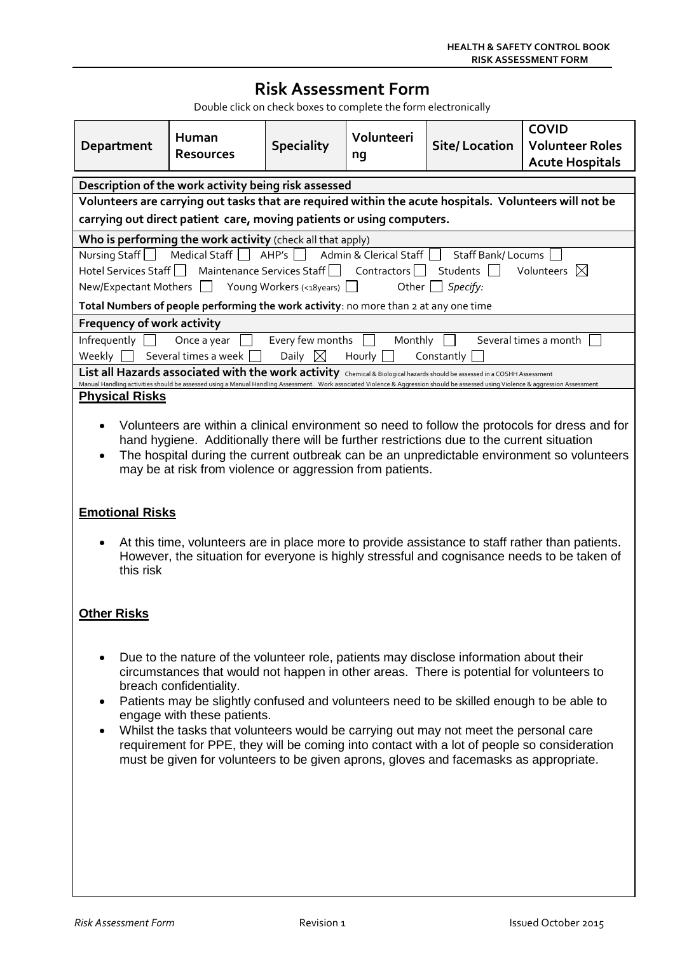# **Risk Assessment Form**

Double click on check boxes to complete the form electronically

| Department                                                                                                                                                                        | Human<br><b>Resources</b> | <b>Speciality</b> | Volunteeri<br>nq | <b>Site/Location</b> | <b>COVID</b><br><b>Volunteer Roles</b><br><b>Acute Hospitals</b> |  |  |  |
|-----------------------------------------------------------------------------------------------------------------------------------------------------------------------------------|---------------------------|-------------------|------------------|----------------------|------------------------------------------------------------------|--|--|--|
| Description of the work activity being risk assessed                                                                                                                              |                           |                   |                  |                      |                                                                  |  |  |  |
| Volunteers are carrying out tasks that are required within the acute hospitals. Volunteers will not be                                                                            |                           |                   |                  |                      |                                                                  |  |  |  |
| carrying out direct patient care, moving patients or using computers.                                                                                                             |                           |                   |                  |                      |                                                                  |  |  |  |
| Who is performing the work activity (check all that apply)                                                                                                                        |                           |                   |                  |                      |                                                                  |  |  |  |
| Nursing Staff   Medical Staff   AHP's   Admin & Clerical Staff  <br><b>Staff Bank/Locums</b>                                                                                      |                           |                   |                  |                      |                                                                  |  |  |  |
| Hotel Services Staff <sup>1</sup> Maintenance Services Staff <sup>1</sup><br>Volunteers $\boxtimes$<br>Contractors    <br>Students                                                |                           |                   |                  |                      |                                                                  |  |  |  |
| New/Expectant Mothers   Young Workers (<18years)  <br>Specify:<br>Other                                                                                                           |                           |                   |                  |                      |                                                                  |  |  |  |
| Total Numbers of people performing the work activity: no more than 2 at any one time                                                                                              |                           |                   |                  |                      |                                                                  |  |  |  |
| <b>Frequency of work activity</b>                                                                                                                                                 |                           |                   |                  |                      |                                                                  |  |  |  |
| Several times a month<br>Every few months<br>Monthly<br>Infrequently<br>Once a year                                                                                               |                           |                   |                  |                      |                                                                  |  |  |  |
| Several times a week<br>Daily $\boxtimes$<br>Hourly  <br>Constantly<br>Weekly 1                                                                                                   |                           |                   |                  |                      |                                                                  |  |  |  |
| List all Hazards associated with the work activity Chemical & Biological hazards should be assessed in a COSHH Assessment                                                         |                           |                   |                  |                      |                                                                  |  |  |  |
| Manual Handling activities should be assessed using a Manual Handling Assessment. Work associated Violence & Aggression should be assessed using Violence & aggression Assessment |                           |                   |                  |                      |                                                                  |  |  |  |
| <b>Physical Risks</b>                                                                                                                                                             |                           |                   |                  |                      |                                                                  |  |  |  |
| Volunteers are within a clinical environment so need to follow the protocols for dress and for                                                                                    |                           |                   |                  |                      |                                                                  |  |  |  |

- hand hygiene. Additionally there will be further restrictions due to the current situation
- The hospital during the current outbreak can be an unpredictable environment so volunteers may be at risk from violence or aggression from patients.

#### **Emotional Risks**

 At this time, volunteers are in place more to provide assistance to staff rather than patients. However, the situation for everyone is highly stressful and cognisance needs to be taken of this risk

#### **Other Risks**

- Due to the nature of the volunteer role, patients may disclose information about their circumstances that would not happen in other areas. There is potential for volunteers to breach confidentiality.
- Patients may be slightly confused and volunteers need to be skilled enough to be able to engage with these patients.
- Whilst the tasks that volunteers would be carrying out may not meet the personal care requirement for PPE, they will be coming into contact with a lot of people so consideration must be given for volunteers to be given aprons, gloves and facemasks as appropriate.